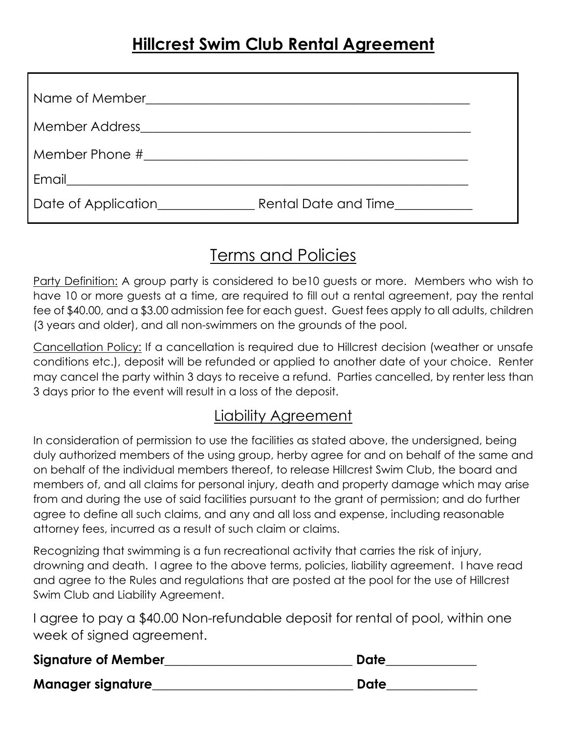| Email                                                                                                                 |                      |  |
|-----------------------------------------------------------------------------------------------------------------------|----------------------|--|
| <u> 1989 - Andrea Albert III, politik a postal de la provincia de la provincia de la provincia de la provincia de</u> |                      |  |
| Date of Application                                                                                                   | Rental Date and Time |  |
|                                                                                                                       |                      |  |

## Terms and Policies

Party Definition: A group party is considered to be10 guests or more. Members who wish to have 10 or more guests at a time, are required to fill out a rental agreement, pay the rental fee of \$40.00, and a \$3.00 admission fee for each guest. Guest fees apply to all adults, children (3 years and older), and all non-swimmers on the grounds of the pool.

Cancellation Policy: If a cancellation is required due to Hillcrest decision (weather or unsafe conditions etc.), deposit will be refunded or applied to another date of your choice. Renter may cancel the party within 3 days to receive a refund. Parties cancelled, by renter less than 3 days prior to the event will result in a loss of the deposit.

## Liability Agreement

In consideration of permission to use the facilities as stated above, the undersigned, being duly authorized members of the using group, herby agree for and on behalf of the same and on behalf of the individual members thereof, to release Hillcrest Swim Club, the board and members of, and all claims for personal injury, death and property damage which may arise from and during the use of said facilities pursuant to the grant of permission; and do further agree to define all such claims, and any and all loss and expense, including reasonable attorney fees, incurred as a result of such claim or claims.

Recognizing that swimming is a fun recreational activity that carries the risk of injury, drowning and death. I agree to the above terms, policies, liability agreement. I have read and agree to the Rules and regulations that are posted at the pool for the use of Hillcrest Swim Club and Liability Agreement.

I agree to pay a \$40.00 Non-refundable deposit for rental of pool, within one week of signed agreement.

| <b>Signature of Member</b> | Date |
|----------------------------|------|
| <b>Manager signature</b>   | Date |